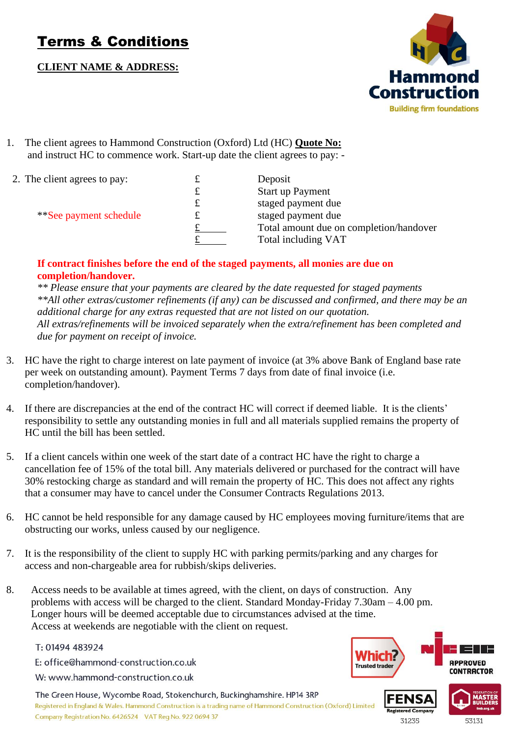# Terms & Conditions

**CLIENT NAME & ADDRESS:**



1. The client agrees to Hammond Construction (Oxford) Ltd (HC) **Quote No:**  and instruct HC to commence work. Start-up date the client agrees to pay: -

| 2. The client agrees to pay:  | t | Deposit                                 |
|-------------------------------|---|-----------------------------------------|
|                               | £ | <b>Start up Payment</b>                 |
|                               | £ | staged payment due                      |
| <i>**See payment schedule</i> | £ | staged payment due                      |
|                               |   | Total amount due on completion/handover |
|                               |   | Total including VAT                     |

#### **If contract finishes before the end of the staged payments, all monies are due on completion/handover.**

*\*\* Please ensure that your payments are cleared by the date requested for staged payments \*\*All other extras/customer refinements (if any) can be discussed and confirmed, and there may be an additional charge for any extras requested that are not listed on our quotation. All extras/refinements will be invoiced separately when the extra/refinement has been completed and due for payment on receipt of invoice.*

- 3. HC have the right to charge interest on late payment of invoice (at 3% above Bank of England base rate per week on outstanding amount). Payment Terms 7 days from date of final invoice (i.e. completion/handover).
- 4. If there are discrepancies at the end of the contract HC will correct if deemed liable. It is the clients' responsibility to settle any outstanding monies in full and all materials supplied remains the property of HC until the bill has been settled.
- 5. If a client cancels within one week of the start date of a contract HC have the right to charge a cancellation fee of 15% of the total bill. Any materials delivered or purchased for the contract will have 30% restocking charge as standard and will remain the property of HC. This does not affect any rights that a consumer may have to cancel under the Consumer Contracts Regulations 2013.
- 6. HC cannot be held responsible for any damage caused by HC employees moving furniture/items that are obstructing our works, unless caused by our negligence.
- 7. It is the responsibility of the client to supply HC with parking permits/parking and any charges for access and non-chargeable area for rubbish/skips deliveries.
- 8. Access needs to be available at times agreed, with the client, on days of construction. Any problems with access will be charged to the client. Standard Monday-Friday 7.30am – 4.00 pm. Longer hours will be deemed acceptable due to circumstances advised at the time. Access at weekends are negotiable with the client on request.

T: 01494 483924

E: office@hammond-construction.co.uk

W: www.hammond-construction.co.uk

The Green House, Wycombe Road, Stokenchurch, Buckinghamshire. HP14 3RP

Registered in England & Wales. Hammond Construction is a trading name of Hammond Construction (Oxford) Limited Company Registration No. 6426524 VAT Reg No. 922 0694 37



31235

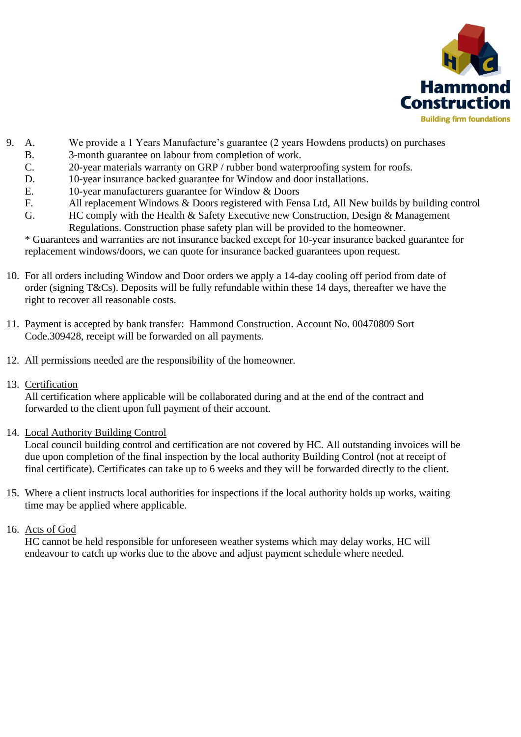

- 9. A. We provide a 1 Years Manufacture's guarantee (2 years Howdens products) on purchases
	- B. 3-month guarantee on labour from completion of work.
	- C. 20-year materials warranty on GRP / rubber bond waterproofing system for roofs.
	- D. 10-year insurance backed guarantee for Window and door installations.
	- E. 10-year manufacturers guarantee for Window & Doors
	- F. All replacement Windows & Doors registered with Fensa Ltd, All New builds by building control
	- G. HC comply with the Health & Safety Executive new Construction, Design & Management Regulations. Construction phase safety plan will be provided to the homeowner.

\* Guarantees and warranties are not insurance backed except for 10-year insurance backed guarantee for replacement windows/doors, we can quote for insurance backed guarantees upon request.

- 10. For all orders including Window and Door orders we apply a 14-day cooling off period from date of order (signing T&Cs). Deposits will be fully refundable within these 14 days, thereafter we have the right to recover all reasonable costs.
- 11. Payment is accepted by bank transfer: Hammond Construction. Account No. 00470809 Sort Code.309428, receipt will be forwarded on all payments.
- 12. All permissions needed are the responsibility of the homeowner.
- 13. Certification

All certification where applicable will be collaborated during and at the end of the contract and forwarded to the client upon full payment of their account.

14. Local Authority Building Control

Local council building control and certification are not covered by HC. All outstanding invoices will be due upon completion of the final inspection by the local authority Building Control (not at receipt of final certificate). Certificates can take up to 6 weeks and they will be forwarded directly to the client.

- 15. Where a client instructs local authorities for inspections if the local authority holds up works, waiting time may be applied where applicable.
- 16. Acts of God

HC cannot be held responsible for unforeseen weather systems which may delay works, HC will endeavour to catch up works due to the above and adjust payment schedule where needed.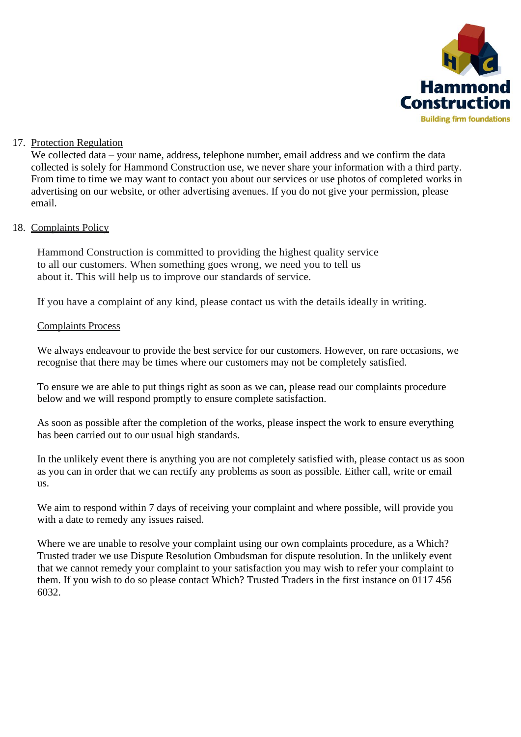

#### 17. Protection Regulation

We collected data – your name, address, telephone number, email address and we confirm the data collected is solely for Hammond Construction use, we never share your information with a third party. From time to time we may want to contact you about our services or use photos of completed works in advertising on our website, or other advertising avenues. If you do not give your permission, please email.

## 18. Complaints Policy

Hammond Construction is committed to providing the highest quality service to all our customers. When something goes wrong, we need you to tell us about it. This will help us to improve our standards of service.

If you have a complaint of any kind, please contact us with the details ideally in writing.

## Complaints Process

We always endeavour to provide the best service for our customers. However, on rare occasions, we recognise that there may be times where our customers may not be completely satisfied.

To ensure we are able to put things right as soon as we can, please read our complaints procedure below and we will respond promptly to ensure complete satisfaction.

As soon as possible after the completion of the works, please inspect the work to ensure everything has been carried out to our usual high standards.

In the unlikely event there is anything you are not completely satisfied with, please contact us as soon as you can in order that we can rectify any problems as soon as possible. Either call, write or email us.

We aim to respond within 7 days of receiving your complaint and where possible, will provide you with a date to remedy any issues raised.

Where we are unable to resolve your complaint using our own complaints procedure, as a Which? Trusted trader we use Dispute Resolution Ombudsman for dispute resolution. In the unlikely event that we cannot remedy your complaint to your satisfaction you may wish to refer your complaint to them. If you wish to do so please contact Which? Trusted Traders in the first instance on 0117 456 6032.